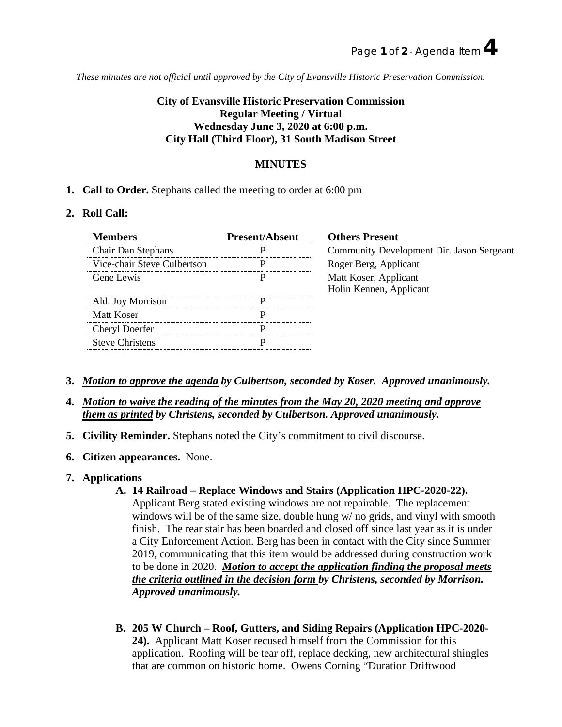*These minutes are not official until approved by the City of Evansville Historic Preservation Commission.*

# **City of Evansville Historic Preservation Commission Regular Meeting / Virtual Wednesday June 3, 2020 at 6:00 p.m. City Hall (Third Floor), 31 South Madison Street**

## **MINUTES**

**1. Call to Order.** Stephans called the meeting to order at 6:00 pm

### **2. Roll Call:**

| <b>Members</b>              | <b>Present/Absent</b> | <b>Others Present</b>                     |
|-----------------------------|-----------------------|-------------------------------------------|
| <b>Chair Dan Stephans</b>   |                       | Community Development Dir. Jason Sergeant |
| Vice-chair Steve Culbertson |                       | Roger Berg, Applicant                     |
| Gene Lewis                  |                       | Matt Koser, Applicant                     |
|                             |                       | Holin Kennen, Applicant                   |
| Ald. Joy Morrison           |                       |                                           |
| Matt Koser                  |                       |                                           |
| Cheryl Doerfer              |                       |                                           |
| <b>Steve Christens</b>      |                       |                                           |

- **3.** *Motion to approve the agenda by Culbertson, seconded by Koser. Approved unanimously.*
- **4.** *Motion to waive the reading of the minutes from the May 20, 2020 meeting and approve them as printed by Christens, seconded by Culbertson. Approved unanimously.*
- **5. Civility Reminder.** Stephans noted the City's commitment to civil discourse.
- **6. Citizen appearances.** None.
- **7. Applications**

### **A. 14 Railroad – Replace Windows and Stairs (Application HPC-2020-22).**

Applicant Berg stated existing windows are not repairable. The replacement windows will be of the same size, double hung w/ no grids, and vinyl with smooth finish. The rear stair has been boarded and closed off since last year as it is under a City Enforcement Action. Berg has been in contact with the City since Summer 2019, communicating that this item would be addressed during construction work to be done in 2020. *Motion to accept the application finding the proposal meets the criteria outlined in the decision form by Christens, seconded by Morrison. Approved unanimously.*

**B. 205 W Church – Roof, Gutters, and Siding Repairs (Application HPC-2020- 24).** Applicant Matt Koser recused himself from the Commission for this application. Roofing will be tear off, replace decking, new architectural shingles that are common on historic home. Owens Corning "Duration Driftwood